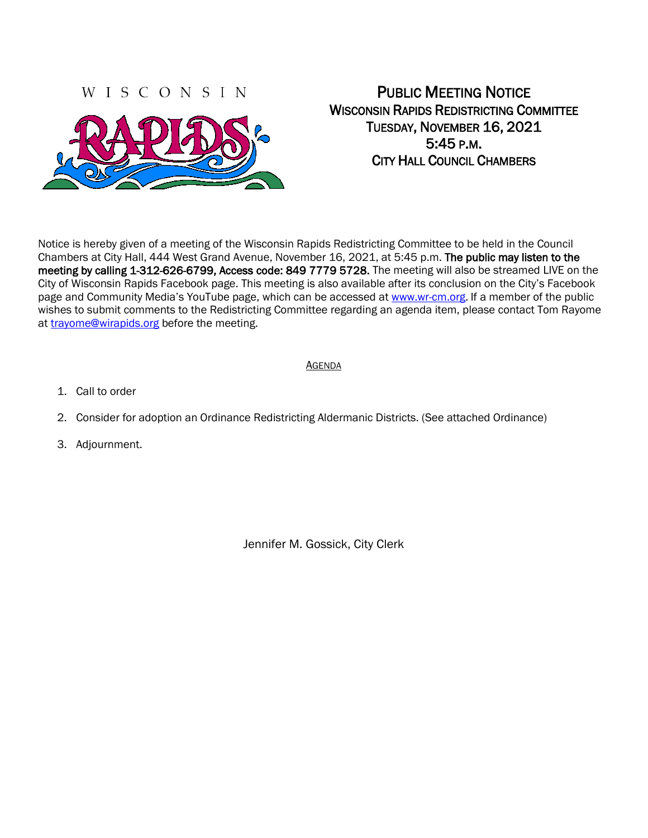## WISCONSIN



# PUBLIC MEETING NOTICE WISCONSIN RAPIDS REDISTRICTING COMMITTEE TUESDAY, NOVEMBER 16, 2021 5:45 P.M. CITY HALL COUNCIL CHAMBERS

Notice is hereby given of a meeting of the Wisconsin Rapids Redistricting Committee to be held in the Council Chambers at City Hall, 444 West Grand Avenue, November 16, 2021, at 5:45 p.m. The public may listen to the meeting by calling 1-312-626-6799, Access code: 849 7779 5728. The meeting will also be streamed LIVE on the City of Wisconsin Rapids Facebook page. This meeting is also available after its conclusion on the City's Facebook page and Community Media's YouTube page, which can be accessed at [www.wr-cm.org.](http://www.wr-cm.org/) If a member of the public wishes to submit comments to the Redistricting Committee regarding an agenda item, please contact Tom Rayome at [trayome@wirapids.org](mailto:trayome@wirapids.org) before the meeting.

#### AGENDA

- 1. Call to order
- 2. Consider for adoption an Ordinance Redistricting Aldermanic Districts. (See attached Ordinance)
- 3. Adjournment.

Jennifer M. Gossick, City Clerk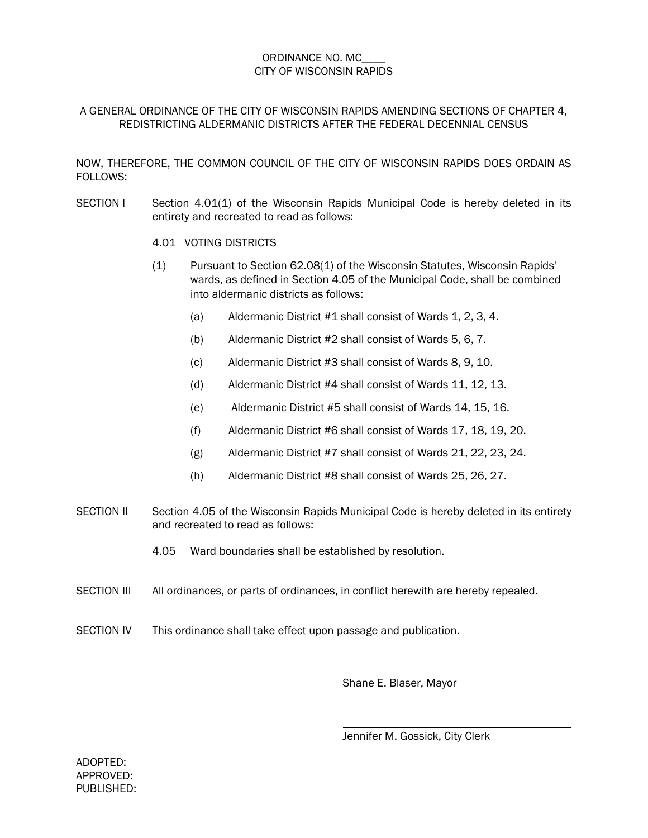#### ORDINANCE NO. MC\_\_\_\_ CITY OF WISCONSIN RAPIDS

### A GENERAL ORDINANCE OF THE CITY OF WISCONSIN RAPIDS AMENDING SECTIONS OF CHAPTER 4, REDISTRICTING ALDERMANIC DISTRICTS AFTER THE FEDERAL DECENNIAL CENSUS

NOW, THEREFORE, THE COMMON COUNCIL OF THE CITY OF WISCONSIN RAPIDS DOES ORDAIN AS FOLLOWS:

SECTION I Section 4.01(1) of the Wisconsin Rapids Municipal Code is hereby deleted in its entirety and recreated to read as follows:

#### 4.01 VOTING DISTRICTS

- (1) Pursuant to Section 62.08(1) of the Wisconsin Statutes, Wisconsin Rapids' wards, as defined in Section 4.05 of the Municipal Code, shall be combined into aldermanic districts as follows:
	- (a) Aldermanic District #1 shall consist of Wards 1, 2, 3, 4.
	- (b) Aldermanic District #2 shall consist of Wards 5, 6, 7.
	- (c) Aldermanic District #3 shall consist of Wards 8, 9, 10.
	- (d) Aldermanic District #4 shall consist of Wards 11, 12, 13.
	- (e) Aldermanic District #5 shall consist of Wards 14, 15, 16.
	- (f) Aldermanic District #6 shall consist of Wards 17, 18, 19, 20.
	- (g) Aldermanic District #7 shall consist of Wards 21, 22, 23, 24.
	- (h) Aldermanic District #8 shall consist of Wards 25, 26, 27.
- SECTION II Section 4.05 of the Wisconsin Rapids Municipal Code is hereby deleted in its entirety and recreated to read as follows:
	- 4.05 Ward boundaries shall be established by resolution.
- SECTION III All ordinances, or parts of ordinances, in conflict herewith are hereby repealed.
- SECTION IV This ordinance shall take effect upon passage and publication.

Shane E. Blaser, Mayor

Jennifer M. Gossick, City Clerk